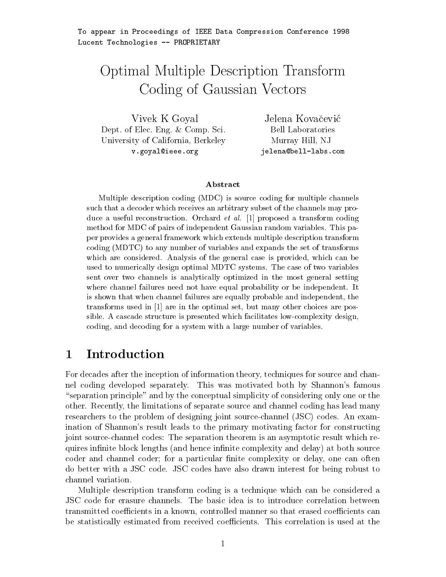# Optimal Multiple Description Transform Coding of County Corrections of Company of Company of Contract of Contract of Contract of Contract of Contract o

Vivek <sup>K</sup> Goyal Dept. of Elec. Eng. & Comp. Sci. University of California-Berkeley, and the California-Berkeley, and the California-Berkeley, and the California v.goyal@ieee.org

Jelena Kovačević Bell Laboratories Murray Hill-American state of the control of the control of the control of the control of the control of the c jelena bell-blank andre blank andre blank andre blank andre blank andre blank andre blank andre blank andre bl

### Abstract

Multiple description coding (MDC) is source coding for multiple channels such that a decoder which receives an arbitrary subset of the channels may produce a useful reconstruction. Orchard *et al.* [1] proposed a transform coding method for MDC of pairs of independent Gaussian random variables. This paper provides a general framework which extends multiple description transform coding (MDTC) to any number of variables and expands the set of transforms which are considered. Analysis of the general case is provided, which can be used to numerically design optimal MDTC systems. The case of two variables sent over two channels is analytically optimized in the most general setting where channel failures need not have equal probability or be independent. It is shown that when channel failures are equally probable and independent, the transforms used in  $[1]$  are in the optimal set, but many other choices are possible A cascade structure is presented which facilitates low-complexity design coding and decoding for a system with a large number of variables

#### $\mathbf{1}$ Introduction

For decades after the inception of information theory- techniques for source and chan nel coding developed separately. This was motivated both by Shannon's famous "separation principle" and by the conceptual simplicity of considering only one or the other Recently- the limitations of separate source and channel coding has lead many researchers to the problem of designing joint source-channel (JSC) codes. An examination of Shannon's result leads to the primary motivating factor for constructing joint source-channel codes: The separation theorem is an asymptotic result which requires in nite block lengths and hence in nite complexity and delay at both source coder and channel coder for a particular nite complexity or delay- one can often do better with a JSC code JSC codes have also drawn interest for being robust to channel variation

Multiple description transform coding is <sup>a</sup> technique which can be considered a JSC code for erasure channels. The basic idea is to introduce correlation between transmitted coecients in a known- controlled manner so that erased coecients can be statistically estimated from received coefficients. This correlation is used at the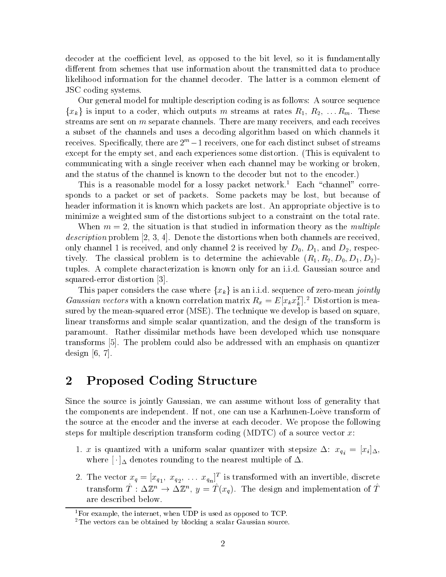decoder at the coecient level- as opposed to the bit level- so it is fundamentally different from schemes that use information about the transmitted data to produce likelihood information for the channel decoder. The latter is a common element of JSC coding systems

Our general model for multiple description coding is as follows: A source sequence  ${x_k}$  is input to a coder, which outputs m streams at rates  $R_1, R_2, \ldots R_m$ . These streams are sent on m separate channels There are many receivers- and each receives <sup>a</sup> subset of the channels and uses a decoding algorithm based on which channels it receives. Specifically, there are  $\omega$  – I receivers, one for each distinct subset of streams except for the experiment some distortion This is experienced some distortion This is equivalent to communicating with a single receiver when each channel may be working or broken, and the status of the channel is known to the decoder but not to the encoder.)

This is a reasonable model for a lossy packet network.<sup>1</sup> Each "channel" corresponds to a packet or set of packets Some packets may be lost- but because of header information it is known which packets are lost. An appropriate objective is to minimize a weighted sum of the distortions subject to a constraint on the total rate.

when the situation is the studied in information theory association theory as the multiple in the multiple of description problem - - Denote the distortions when both channels are receivedonly channel – an excessively when change channel – an excessive degli – () – () where – 4) exception tively the classical problem is to determine the acceptance  $\{ \neg P \mid \neg P \subseteq \emptyset \}$   $= \emptyset$ tuples. A complete characterization is known only for an i.i.d. Gaussian source and squared-error distortion [3].

This paper considers the case where  $\{x_k\}$  is an i.i.d. sequence of zero-mean jointly Gaussian vectors with a known correlation matrix  $R_x = E[x_k x_k]$ . Distortion is measured by the mean-squared error (MSE). The technique we develop is based on square. linear transforms and simple scalar quantization- and the design of the transform is paramount. Rather dissimilar methods have been developed which use nonsquare transforms <sup>[5]</sup>. The problem could also be addressed with an emphasis on quantizer  $\sim$  -  $\sim$   $\sim$   $\sim$   $\sim$   $\sim$   $\sim$ 

### 2 Proposed Coding Structure

since the source is jointly Gaussian- with the source with the source of generality that the source of generality that the source of generality that the source of generality that the source of generality that the source of the components are independent If  $\alpha$  are  $\alpha$  and  $\alpha$  and  $\alpha$  and  $\alpha$  are  $\alpha$  and  $\alpha$ the source at the encoder and the inverse at each decoder. We propose the following steps for multiple description transform coding  $(MDTC)$  of a source vector x:

- with a uniform stepsize with a uniform scalar quantizer with stepsize  $\mathbf{v}$  ,  $\mathbf{q}_i$  ,  $\mathbf{u}_i$  ,  $\mathbf{u}_j$ where  $[\cdot]_{\Delta}$  denotes rounding to the nearest multiple of  $\Delta$ .
- 2. The vector  $x_q = [x_{q_1}, x_{q_2}, \ldots x_{q_n}]$  is transformed with an invertible, discrete transform  $T: \Delta \mathbb{Z}^n \to \Delta \mathbb{Z}^n$ ,  $y = T(x_q)$ . The design and implementation of T are described below

<sup>&</sup>lt;sup>1</sup>For example, the internet, when UDP is used as opposed to TCP.

<sup>&</sup>lt;sup>2</sup>The vectors can be obtained by blocking a scalar Gaussian source.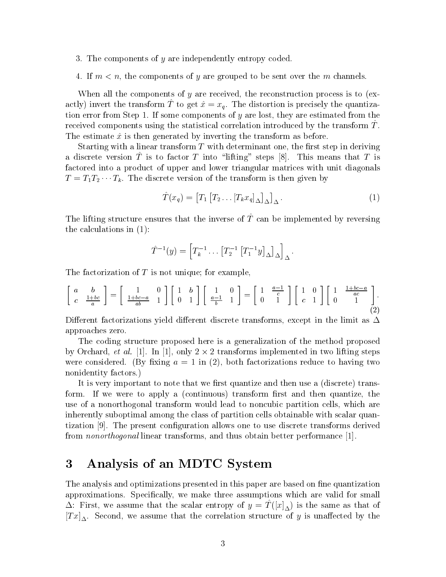- 3. The components of  $y$  are independently entropy coded.
- If m-n- the components of y are grouped to be sent over the m channels

When all the components of y are received- the reconstruction process is to ex actly) invert the transform T to get  $x = x<sub>g</sub>$ . The distortion is precisely the quantization error from Step If some components of y are lost- they are estimated from the received components using the statistical correlation introduced by the transform  $T$ . The estimate  $\hat{x}$  is then generated by inverting the transform as before.

Starting with a linear transform T with determinant one- the rst step in deriving a discrete version T is to factor T into lifting steps  $|0|$ . This ineally that T is factored into a product of upper and lower triangular matrices with unit diagonals  $T = T_1 T_2 \cdots T_k$ . The discrete version of the transform is then given by

$$
\hat{T}(x_q) = \left[T_1 \left[T_2 \dots \left[T_k x_q\right]_\Delta\right]_\Delta\right].\tag{1}
$$

The lifting structure ensures that the inverse of T can be implemented by reversing the calculations in  $(1)$ :

$$
\hat{T}^{-1}(y) = \left[T_k^{-1} \dots [T_2^{-1} [T_1^{-1}y]_{\Delta}]_{\Delta}\right]_{\Delta}.
$$

The factorization of  $T$  is not unique; for example,

$$
\begin{bmatrix} a & b \ c & \frac{1+bc}{a} \end{bmatrix} = \begin{bmatrix} 1 & 0 \ \frac{1+bc-a}{ab} & 1 \end{bmatrix} \begin{bmatrix} 1 & b \ 0 & 1 \end{bmatrix} \begin{bmatrix} 1 & 0 \ \frac{a-1}{b} & 1 \end{bmatrix} = \begin{bmatrix} 1 & \frac{a-1}{c} \\ 0 & 1 \end{bmatrix} \begin{bmatrix} 1 & 0 \\ c & 1 \end{bmatrix} \begin{bmatrix} 1 & \frac{1+bc-a}{ac} \\ 0 & 1 \end{bmatrix}.
$$
 (2)

Dierent factorizations yield dierent discrete transforms- except in the limit as approaches zero

The coding structure proposed here is a generalization of the method proposed by Orchard, *et al.* [1]. In [1], only  $2 \times 2$  transforms implemented in two lifting steps were considered by  $\mathcal{L}$  in  $\mathcal{L}$  and factorizations reduce to  $\mathcal{L}$ nonidentity factors.)

It is very important to note that we rst quantize and then use a discrete trans form If we were to apply a continuous transform rst and then quantize- the where  $\mathbf{w}$  are those of a non-contract partition cells-which are the non-contract partition cells-which are the set of a inherently suboptimal among the class of partition cells obtainable with scalar quan tization The present con guration allows one to use discrete transforms derived from nonorthogonal linear transforms- and thus obtain better performance

#### 3 Analysis of an MDTC System

The analysis and optimizations presented in this paper are based on ne quantization approximations such that the called for the smaller which are valid for small for small for small for small for  $\Delta$ . First, we assume that the scalar entropy of  $y = I(\lfloor t \rfloor_A)$  is the same as that of T and the correlation structure of y is unafter the correlation structure of y is unafter by the correlation structure of y is unafter the correlation of y is unafter the correlation of y is unafter the correlation of y i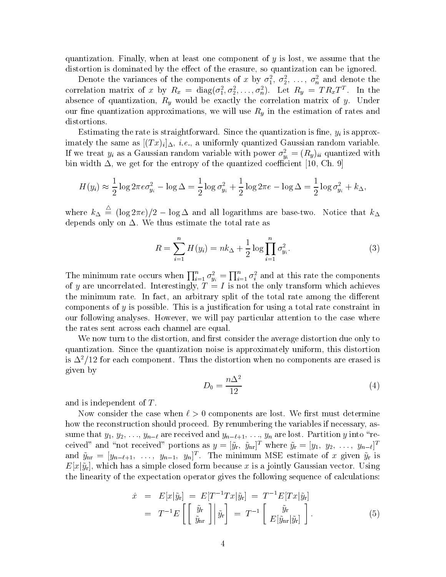quantization Finally- when at least one component of y is lost- we assume that the distortion is dominated by the erasure-of-the erasure-of-the-distortion can be interested by a social can be i

Denote the variances of the components of x by  $o_1, o_2, \ldots, o_n$  and denote the correlation matrix of x by  $R_x = \text{diag}(\sigma_1^*, \sigma_2^*, \ldots, \sigma_n^*)$ . Let  $R_y = I R_x I^*$ . In the absence of  $\mu = -q$  would be exactly the correlation-of y Understanding  $\mu$ our critical protection and supplementaries and will use and respectively constructed and respect the estimatio distortions.

Estimating the rate is straightforward Since the quantization is ne- yi is approx imately the same as T  $\alpha$  -  $\alpha$  is  $\alpha$  -  $\alpha$  -  $\alpha$  ,  $\alpha$  -  $\alpha$  ,  $\alpha$  ,  $\alpha$  ,  $\alpha$  ,  $\alpha$  ,  $\alpha$  ,  $\alpha$  ,  $\alpha$  ,  $\alpha$  ,  $\alpha$  ,  $\alpha$  ,  $\alpha$  ,  $\alpha$  ,  $\alpha$  ,  $\alpha$  ,  $\alpha$  ,  $\alpha$  ,  $\alpha$  ,  $\alpha$  ,  $\alpha$  ,  $\alpha$  ,  $\alpha$  ,  $\$ If we treat  $y_i$  as a Gaussian random variable with power  $\sigma_{y_i}^- = (R_y)_{ii}$  quantized with bin width - we get for the entropy of the get for the get for the get for the get for the get for the get for

$$
H(y_i) \approx \frac{1}{2}\log 2\pi e \sigma_{y_i}^2 - \log \Delta = \frac{1}{2}\log \sigma_{y_i}^2 + \frac{1}{2}\log 2\pi e - \log \Delta = \frac{1}{2}\log \sigma_{y_i}^2 + k_\Delta,
$$

where  $k_{\Delta} \equiv (\log 2\pi e)/2 - \log \Delta$  and all logarithms are base-two. Notice that  $k_{\Delta}$ depends only on  $\Delta$ . We thus estimate the total rate as

$$
R = \sum_{i=1}^{n} H(y_i) = nk_{\Delta} + \frac{1}{2} \log \prod_{i=1}^{n} \sigma_{y_i}^2.
$$
 (3)

The minimum rate occurs when  $\prod_{i=1}^n \sigma_{y_i}^2 = \prod_{i=1}^n \sigma_i^2$  and at this rate the components of  $\mathbf{N}$  is not the only transform which achieves the only transform which achieves the only transform which achieves the only transform which achieves the only transform which achieves the only transform which achieve the minimum rates in factor  $\alpha$  and  $\alpha$  are the total rates and the dierential rates  $\alpha$ components of y is possible This is a justi cation for using a total rate constraint in our following analyses However-Company pay particular attention to the case where where  $\sim$ the rates sent across each channel are equal

we now turn to the distortion-distortion-due to the average distortion-due only to average distortion on  $\mathcal{C}$  $\mathbf{u}$  since the quantization since the quantization noise is approximately uniform-distortion-distortion  $\mathbf{u}$ is  $\Delta^2/12$  for each component. Thus the distortion when no components are erased is given by

$$
D_0 = \frac{n\Delta^2}{12} \tag{4}
$$

and is independent of T

Now consider the case when components are lost We rst must determine how the reconstruction should proceed By renumbering the variables if necessary- as  $s$  -for and y are received and ynthe section  $\mu$  and  $\mu$  into  $\mu$  in  $\mu$  and  $\mu$  into received and  $\mu$  into  $\mu$ ceived and not received portions as  $y = |y_{\rm r}, y_{\rm nr}|^2$  where  $y_{\rm r} = |y_1, y_2, \ldots, y_{n-\ell}|^2$ and  $y_{\text{nr}} = |y_{n-\ell+1}, \ldots, y_{n-1}, y_n|$ . The minimum MSE estimate of x given  $y_{\text{r}}$  is  $E[x|\tilde{y}_{\rm r}]$ , which has a simple closed form because  $x$  is a jointly Gaussian vector. Using the linearity of the expectation operator gives the following sequence of calculations 

$$
\begin{array}{rcl}\n\hat{x} & = & E[x|\tilde{y}_r] \\
& = & T^{-1}E\left[\left[\begin{array}{c} \tilde{y}_r \\ \tilde{y}_{nr} \end{array}\right] \middle| \tilde{y}_r\right] \\
& = & T^{-1}E\left[\left[\begin{array}{c} \tilde{y}_r \\ \tilde{y}_{nr} \end{array}\right] \middle| \tilde{y}_r\right] \\
& = & T^{-1}\left[\begin{array}{c} \tilde{y}_r \\ E[\tilde{y}_{nr}|\tilde{y}_r] \end{array}\right].\n\end{array}\n\tag{5}
$$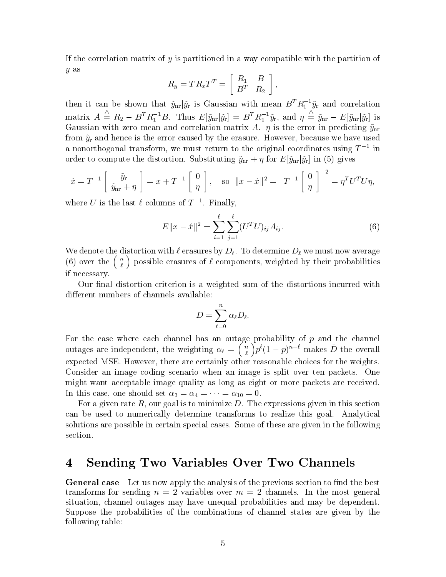If the correlation matrix of  $y$  is partitioned in a way compatible with the partition of y as

$$
R_y = TR_xT^T = \left[ \begin{array}{cc} R_1 & B \\ B^T & R_2 \end{array} \right],
$$

then it can be shown that  $\tilde{y}_{nr}|\tilde{y}_r$  is Gaussian with mean  $B^T R_1^{-1} \tilde{y}_r$  and correlation  $\text{matrix} \ \ A \ \stackrel{\scriptscriptstyle\triangle}{=} \ R_2 - B^T R_1^{-1} B. \ \ \text{Thus} \ \ E[\tilde{y}_{\text{nr}} | \tilde{y}_{\text{r}}] \ = \ B^T R_1^{-1} \tilde{y}_{\text{r}}, \ \text{and} \ \ \eta \ \stackrel{\scriptscriptstyle\triangle}{=} \ \tilde{y}_{\text{nr}} - E[\tilde{y}_{\text{nr}} | \tilde{y}_{\text{r}}] \ \ \text{is}$ Gaussian with zero mean and correlation matrix A is the error in predicting ynr from yr and hence is the error caused by the erasure However- because we have used a nonorthogonal transform, we must return to the original coordinates using  $I^{-\pm}$  in order to compute the distortion. Substituting  $\tilde{y}_{nr} + \eta$  for  $E[\tilde{y}_{nr}|\tilde{y}_r]$  in (5) gives

$$
\hat{x} = T^{-1} \begin{bmatrix} \tilde{y}_r \\ \tilde{y}_{nr} + \eta \end{bmatrix} = x + T^{-1} \begin{bmatrix} 0 \\ \eta \end{bmatrix}, \text{ so } ||x - \hat{x}||^2 = \left\| T^{-1} \begin{bmatrix} 0 \\ \eta \end{bmatrix} \right\|^2 = \eta^T U^T U \eta,
$$

where  $U$  is the last  $\ell$  columns of  $I^{-1}$ . Finally,

$$
E||x - \hat{x}||^2 = \sum_{i=1}^{\ell} \sum_{j=1}^{\ell} (U^T U)_{ij} A_{ij}.
$$
 (6)

We denote the distortion with  $\ell$  erasures by  $D_{\ell}$ . To determine  $D_{\ell}$  we must now average (6) over the  $\binom{n}{\ell}$  possible erasures of  $\ell$  components, weighted by their probabilities if necessary

Our nal distortion criterion is a weighted sum of the distortions incurred with different numbers of channels available:

$$
\bar{D}=\sum_{\ell=0}^n\alpha_\ell D_\ell.
$$

For the case where each channel has an outage probability of  $p$  and the channel outs are in the weighting and the weighting the weight of the weight of the weight of the weight of the weight o  $\binom{n}{\ell} p^{\ell} (1-p)^{n-\ell}$  makes  $\bar{D}$  the overall expected matrix other are certainly other reasonable choices for the weights for the weights for the weights of Consider an image coding scenario when an image is split over ten packets. One might want acceptable image quality as long as eight or more packets are received In this case, one should set  $\alpha_3 = \alpha_4 = \cdots = \alpha_{10} = 0$ .

For a given rate  $R$ , our goal is to minimize  $D$ . The expressions given in this section can be used to numerically determine transforms to realize this goal Analytical solutions are possible in certain special cases Some of these are given in the following section

#### Sending Two Variables Over Two Channels 4

General case they us now apply the analysis of the previous section to mud the best transforms for sending  $n = 2$  variables over  $m = 2$  channels. In the most general situation- channel outages may have unequal probabilities and may be dependent Suppose the probabilities of the combinations of channel states are given by the following table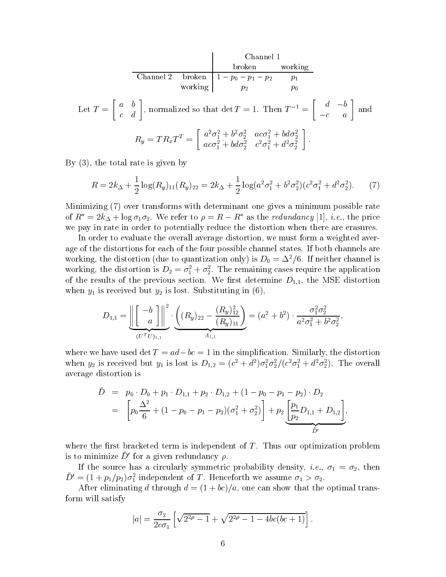$$
\begin{array}{c|c}\n\text{Channel 1} & \text{broken} & \text{working} \\
\hline\n\text{Channel 2} & \text{broken} & \text{1} - p_0 - p_1 - p_2 & p_1 \\
\text{working} & p_2 & p_0\n\end{array}
$$
\nLet  $T = \begin{bmatrix} a & b \\ c & d \end{bmatrix}$ , normalized so that  $\det T = 1$ . Then  $T^{-1} = \begin{bmatrix} d & -b \\ -c & a \end{bmatrix}$  and\n
$$
R_y = TR_xT^T = \begin{bmatrix} a^2\sigma_1^2 + b^2\sigma_2^2 & ac\sigma_1^2 + bd\sigma_2^2 \\ ac\sigma_1^2 + bd\sigma_2^2 & c^2\sigma_1^2 + d^2\sigma_2^2 \end{bmatrix}.
$$

By - the total rate is given by

$$
R = 2k_{\Delta} + \frac{1}{2}\log(R_y)_{11}(R_y)_{22} = 2k_{\Delta} + \frac{1}{2}\log(a^2\sigma_1^2 + b^2\sigma_2^2)(c^2\sigma_1^2 + d^2\sigma_2^2). \tag{7}
$$

Minimizing  $(7)$  over transforms with determinant one gives a minimum possible rate of  $R_z = 2\kappa_\Delta + \log \sigma_1 \sigma_2$ , we refer to  $\rho = R - R_z$  as the reaunaancy [1], i.e., the price we pay in rate in order to potentially reduce the distortion when there are erasures

In order to evaluate the overall average distortion- we must form a weighted aver age of the distortions for each of the four possible channel states. If both channels are working, the distortion (due to quantization only) is  $D_0 = \Delta^2/6$ . If neither channel is working, the distortion is  $D_2 = \sigma_1^2 + \sigma_2^2$ . The remaining cases require the application of the results of the previous section  $\pm i \pm l$ when  $y_1$  is received but  $y_2$  is lost. Substituting in  $(6)$ ,

$$
D_{1,1} = \underbrace{\left\| \begin{bmatrix} -b \\ a \end{bmatrix} \right\|^2}_{(U^TU)_{1,1}} \cdot \underbrace{\left( (R_y)_{22} - \frac{(R_y)_{12}^2}{(R_y)_{11}} \right)}_{A_{1,1}} = (a^2 + b^2) \cdot \frac{\sigma_1^2 \sigma_2^2}{a^2 \sigma_1^2 + b^2 \sigma_2^2},
$$

where we have used  $\det I = uu = bc = 1$  in the simplification. Similarly, the distortion when  $y_2$  is received but  $y_1$  is lost is  $D_{1,2} = (c^2 + a^2) \sigma_1^2 \sigma_2^2/(c^2 \sigma_1^2 + a^2 \sigma_2^2)$ . The overall average distortion is

$$
\bar{D} = p_0 \cdot D_0 + p_1 \cdot D_{1,1} + p_2 \cdot D_{1,2} + (1 - p_0 - p_1 - p_2) \cdot D_2
$$
  
= 
$$
\left[ p_0 \frac{\Delta^2}{6} + (1 - p_0 - p_1 - p_2)(\sigma_1^2 + \sigma_2^2) \right] + p_2 \underbrace{\left[ \frac{p_1}{p_2} D_{1,1} + D_{1,2} \right]}_{\bar{D}'},
$$

where the the the the the the the the three term is independent of T independent of T independent of T independent of T independent of T independent of T independent of T independent of T independent of T independent of T is to minimize  $D$  for a given redundancy  $\rho$ .

If the source has a circularly symmetric probability density-symmetry) density-  $\pm$  (  $\pm$  (  $\pm$  ) density- $D = (1 + p_1/p_2)\sigma_1^2$  independent of T. Henceforth we assume  $\sigma_1 > \sigma_2$ .

 $\mathcal{A}$  after eliminating d through d through d transmitted to  $\mathcal{B}$ form will satisfy

$$
|a| = \frac{\sigma_2}{2c\sigma_1} \left[ \sqrt{2^{2\rho} - 1} + \sqrt{2^{2\rho} - 1 - 4bc(bc + 1)} \right].
$$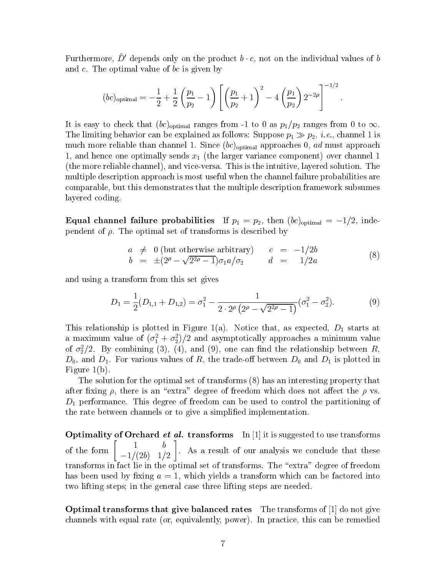Furthermore,  $D$  -depends only on the product  $\theta \cdot c,$  not on the individual values of  $\theta$ and  $c$ . The optimal value of  $bc$  is given by

$$
(bc)_{\text{optimal}} = -\frac{1}{2} + \frac{1}{2} \left( \frac{p_1}{p_2} - 1 \right) \left[ \left( \frac{p_1}{p_2} + 1 \right)^2 - 4 \left( \frac{p_1}{p_2} \right) 2^{-2\rho} \right]^{-1/2}.
$$

It is easy to check that  $(bc)_{\text{optimal}}$  ranges from -1 to 0 as  $p_1/p_2$  ranges from 0 to  $\infty$ .<br>The limiting behavior can be explained as follows: Suppose  $p_1 \gg p_2, \, i.e.,$  channel 1 is much more reliable than channel approaches - additional approaches - additional approaches - ad must applied t - and hence one optimally sends x the larger variance component over channel the more reliable channel- and viceversa This is the intuitive- layered solution The multiple description approach is most useful when the channel failure probabilities are comparable- but this demonstrates that the multiple description framework subsumes layered coding

Equal channel failure probabilities if  $p_1 = p_2$ , then  $\langle v_0 \rangle_{\text{optimal}} = -1/2$ , filtependent of The optimal set of transforms is described by

$$
a \neq 0 \text{ (but otherwise arbitrary)} \qquad c = -1/2b
$$
  
\n
$$
b = \pm (2^{\rho} - \sqrt{2^{2\rho} - 1})\sigma_1 a/\sigma_2 \qquad d = 1/2a
$$
 (8)

and using a transform from this set gives

$$
D_1 = \frac{1}{2}(D_{1,1} + D_{1,2}) = \sigma_1^2 - \frac{1}{2 \cdot 2^{\rho} (2^{\rho} - \sqrt{2^{2\rho} - 1})} (\sigma_1^2 - \sigma_2^2).
$$
 (9)

This relationship is plotted in Figure a Notice that- as expected- D starts at a maximum value of  $(\bar{\sigma}_1 + \bar{\sigma}_2)/2$  and asymptotically approaches a minimum value of  $\sigma_2$ /2. By combining (5), (4), and (9), one can find the relationship between  $\kappa$ ,  $-$  ()) corresponding to the transition of  $\mathbb{F}_2$  in the tradeo between  $-$  () in the  $-$  ( ) is plotted in the second Figure  $1(b)$ .

The solution for the optimal set of transforms  $(8)$  has an interesting property that after xing - there is an extra degree of freedom which does not aect the vs  $D_1$  performance. This degree of freedom can be used to control the partitioning of the rate between channels or to give a simpli ed implementation

 $\sigma$ ptimality of Orchard  $\epsilon_t$  at transforms In Transforms in the suggested to use transforms of the form  $\begin{bmatrix} 1 \\ 1 \end{bmatrix}$ be a series of the contract of the contract of the contract of the contract of the contract of the contract of  $\begin{bmatrix} 1 & b \\ -1/(2b) & 1/2 \end{bmatrix}$ . As a result of our analysis we conclude that these transforms in fact lie in the optimal set of transforms. The "extra" degree of freedom has been used by xing a - which yields a transform which can be factored into two lifting steps; in the general case three lifting steps are needed.

 $\sigma$  do not give that give balanced rates  $\sigma$  inconsidering or  $\mu$  and not give rate channels with equal rates or and  $\alpha$  remedied to remedie the remedied or remedied to remediate the remedied or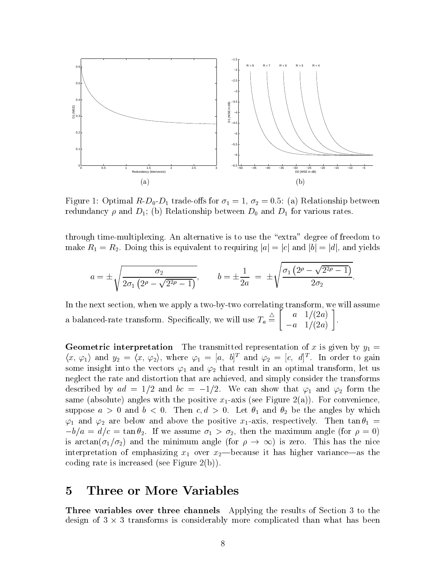

relationship between  $\bullet$   $\bullet$   $\bullet$   $\bullet$   $\bullet$   $\bullet$  for  $\bullet$  for  $\bullet$  for  $\bullet$  for  $\bullet$  for  $\bullet$  for  $\bullet$  for  $\bullet$  for  $\bullet$  for  $\bullet$  for  $\bullet$  for  $\bullet$  for  $\bullet$  for  $\bullet$  for  $\bullet$  for  $\bullet$  for  $\bullet$  for  $\bullet$  for  $\bullet$  for  $\bullet$  redundancy and D b Relationship between D- and D for various rates

through time-multiplexing. An alternative is to use the "extra" degree of freedom to make  $R_1 = R_2$ . Doing this is equivalent to requiring  $|a| = |c|$  and  $|b| = |d|$ , and yields

$$
a = \pm \sqrt{\frac{\sigma_2}{2\sigma_1 \left(2^{\rho} - \sqrt{2^{2\rho} - 1}\right)}}, \qquad b = \pm \frac{1}{2a} = \pm \sqrt{\frac{\sigma_1 \left(2^{\rho} - \sqrt{2^{2\rho} - 1}\right)}{2\sigma_2}}.
$$

In the next section- when we apply a twobytwo correlating transform- we will assume a balanced-rate transform. Specifically, we will use  $T_a = \begin{bmatrix} 1 & 1 \\ 1 & 1 \end{bmatrix}$  a a contract and a contract of the contract of the contract of the contract of the contract of the contract of  $\begin{bmatrix} a & 1/(2a) \\ -a & 1/(2a) \end{bmatrix}$ .

Geometric interpretation The transmitted representation of  $\mu$  is given by  $\mu$  is given by  $y_{\perp}$  $\langle x, \varphi_1 \rangle$  and  $y_2 = \langle x, \varphi_2 \rangle$ , where  $\varphi_1 = [a, b]^T$  and  $\varphi_2 = [c, d]^T$ . In order to gain some into  $\rho$  into the vectors  $r$  into  $r$   $\mu$  and  $r$  and  $r$  in an optimal transformation  $\sigma$  in an optimal transformation  $\sigma$ neglect the rate and distortion that are achieved-that are achieved-the transforms that the transforms of described by  $ad = 1/2$  and  $bc = -1/2$ . We can show that  $\varphi_1$  and  $\varphi_2$  form the same (absolute) angles with the positive  $x_1$ -axis (see Figure 2(a)). For convenience, suppose a  $\ell$  , which is a set of the angles by which is and the angles by which  $\ell$  and are below and above the positive xaxis- respectively Then tan   $-\nu/a = a/c = \tan \nu_2$ . It we assume  $\nu_1 > \nu_2$ , then the maximum angle (for  $\rho = 0$ ) is arctan( $\sigma_1/\sigma_2$ ) and the minimum angle (for  $\rho \to \infty$ ) is zero. This has the nice interpretation of emphasizing  $x_1$  over  $x_2$ —because it has higher variance—as the coding rate is increased (see Figure 2(b)).

## Three or More Variables

Three variables over three channels Applying the results of Section to the design of  $3 \times 3$  transforms is considerably more complicated than what has been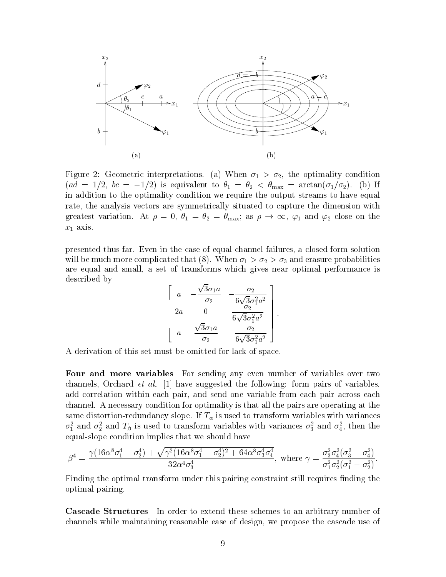

Figure Geometric interpretations a When - the optimality condition  $(aa = 1/2, bc = -1/2)$  is equivalent to  $v_1 = v_2 < v_{max} = a$ ictan $(v_1/v_2)$ . (b) if in addition to the optimality condition we require the output streams to have equal rate- the analysis vectors are symmetrically situated to capture the dimension with greatest variation. At  $\rho = 0$ ,  $\theta_1 = \theta_2 = \theta_{\text{max}}$ ; as  $\rho \to \infty$ ,  $\varphi_1$  and  $\varphi_2$  close on the  $x_1$ -axis.

presented thus far Even in the case of equal channel failures- a closed form solution will be much more complicated that (8). When  $\sigma_1 > \sigma_2 > \sigma_3$  and erasure probabilities are equal and small- a set of transforms which gives near optimal performance is described by

$$
\left[\begin{array}{ccc} a & -\frac{\sqrt{3}\sigma_1 a}{\sigma_2} & -\frac{\sigma_2}{6\sqrt{3}\sigma_1^2 a^2} \\ 2a & 0 & \frac{\sigma_2}{6\sqrt{3}\sigma_1^2 a^2} \\ a & \frac{\sqrt{3}\sigma_1 a}{\sigma_2} & -\frac{\sigma_2}{6\sqrt{3}\sigma_1^2 a^2} \end{array}\right].
$$

A derivation of this set must be omitted for lack of space

Four and more variables For sending any even number of variables over two channels- Orchard et all is not composed the following relate pairs of variables add correlation within each pair- and send one variable from each pair across each channel A necessary condition for optimality is that all the pairs are operating at the same distortion-redundancy slope. If  $T_{\alpha}$  is used to transform variables with variances  $\sigma_1$  and  $\sigma_2$  and  $T_\beta$  is used to transform variables with variances  $\sigma_3$  and  $\sigma_4$ , then the equal-slope condition implies that we should have

$$
\beta^4 = \frac{\gamma (16\alpha^8 \sigma_1^4 - \sigma_2^4) + \sqrt{\gamma^2 (16\alpha^8 \sigma_1^4 - \sigma_2^4)^2 + 64\alpha^8 \sigma_3^4 \sigma_4^4}}{32\alpha^4 \sigma_3^4}, \text{ where } \gamma = \frac{\sigma_3^2 \sigma_4^2 (\sigma_3^2 - \sigma_4^2)}{\sigma_1^2 \sigma_2^2 (\sigma_1^2 - \sigma_2^2)}.
$$

Finding the optimal transform under this pairing constraint still requires nding the optimal pairing

The Structure In order to the Structure In order to an arbitrary number of the structure international of the channels while maintaining reasonable ease of design- we propose the cascade use of